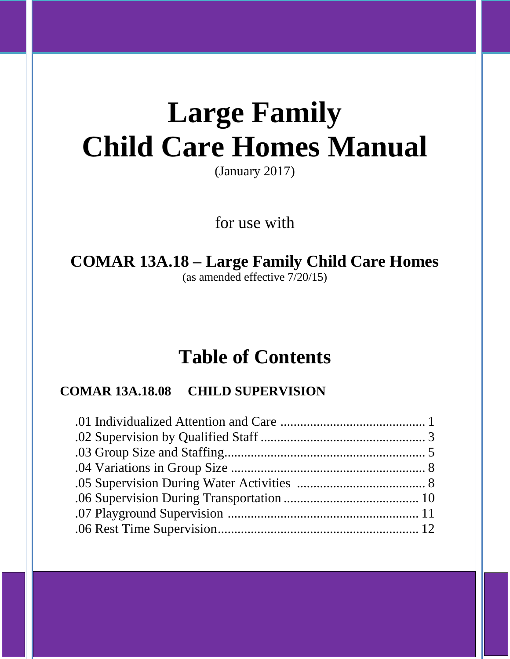# **Large Family Child Care Homes Manual**

(January 2017)

for use with

## **COMAR 13A.18 – Large Family Child Care Homes** (as amended effective 7/20/15)

# **Table of Contents**

## **COMAR 13A.18.08 CHILD SUPERVISION**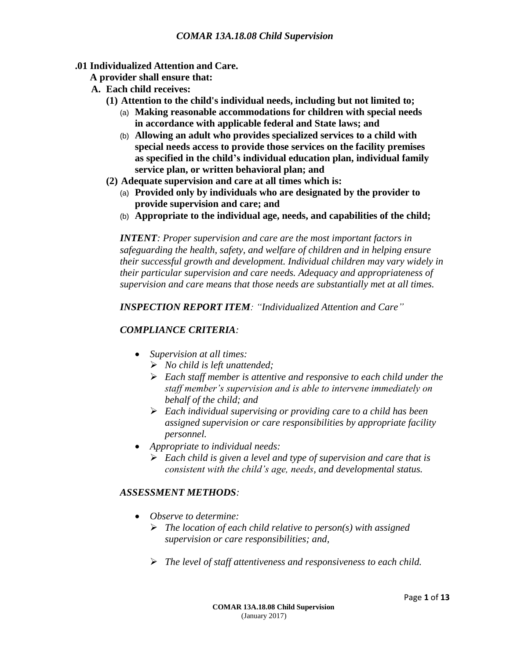#### **.01 Individualized Attention and Care.**

- **A provider shall ensure that:**
- **A. Each child receives:**
	- **(1) Attention to the child's individual needs, including but not limited to;**
		- (a) **Making reasonable accommodations for children with special needs in accordance with applicable federal and State laws; and**
		- (b) **Allowing an adult who provides specialized services to a child with special needs access to provide those services on the facility premises as specified in the child's individual education plan, individual family service plan, or written behavioral plan; and**
	- **(2) Adequate supervision and care at all times which is:**
		- (a) **Provided only by individuals who are designated by the provider to provide supervision and care; and**
		- (b) **Appropriate to the individual age, needs, and capabilities of the child;**

*INTENT: Proper supervision and care are the most important factors in safeguarding the health, safety, and welfare of children and in helping ensure their successful growth and development. Individual children may vary widely in their particular supervision and care needs. Adequacy and appropriateness of supervision and care means that those needs are substantially met at all times.*

*INSPECTION REPORT ITEM: "Individualized Attention and Care"* 

#### *COMPLIANCE CRITERIA:*

- *Supervision at all times:*
	- *No child is left unattended;*
	- *Each staff member is attentive and responsive to each child under the staff member's supervision and is able to intervene immediately on behalf of the child; and*
	- *Each individual supervising or providing care to a child has been assigned supervision or care responsibilities by appropriate facility personnel.*
- *Appropriate to individual needs:*
	- *Each child is given a level and type of supervision and care that is consistent with the child's age, needs, and developmental status.*

#### *ASSESSMENT METHODS:*

- *Observe to determine:*
	- *The location of each child relative to person(s) with assigned supervision or care responsibilities; and,*
	- *The level of staff attentiveness and responsiveness to each child.*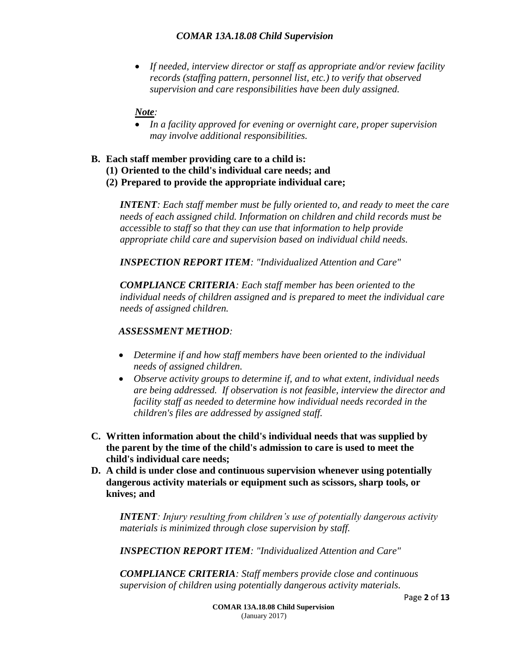*If needed, interview director or staff as appropriate and/or review facility records (staffing pattern, personnel list, etc.) to verify that observed supervision and care responsibilities have been duly assigned.*

#### *Note:*

- *In a facility approved for evening or overnight care, proper supervision may involve additional responsibilities.*
- **B. Each staff member providing care to a child is:**
	- **(1) Oriented to the child's individual care needs; and**
	- **(2) Prepared to provide the appropriate individual care;**

*INTENT: Each staff member must be fully oriented to, and ready to meet the care needs of each assigned child. Information on children and child records must be accessible to staff so that they can use that information to help provide appropriate child care and supervision based on individual child needs.* 

*INSPECTION REPORT ITEM: "Individualized Attention and Care"*

*COMPLIANCE CRITERIA: Each staff member has been oriented to the individual needs of children assigned and is prepared to meet the individual care needs of assigned children.*

#### *ASSESSMENT METHOD:*

- *Determine if and how staff members have been oriented to the individual needs of assigned children.*
- *Observe activity groups to determine if, and to what extent, individual needs are being addressed. If observation is not feasible, interview the director and facility staff as needed to determine how individual needs recorded in the children's files are addressed by assigned staff.*
- **C. Written information about the child's individual needs that was supplied by the parent by the time of the child's admission to care is used to meet the child's individual care needs;**
- **D. A child is under close and continuous supervision whenever using potentially dangerous activity materials or equipment such as scissors, sharp tools, or knives; and**

*INTENT: Injury resulting from children's use of potentially dangerous activity materials is minimized through close supervision by staff.*

*INSPECTION REPORT ITEM: "Individualized Attention and Care"*

*COMPLIANCE CRITERIA: Staff members provide close and continuous supervision of children using potentially dangerous activity materials.*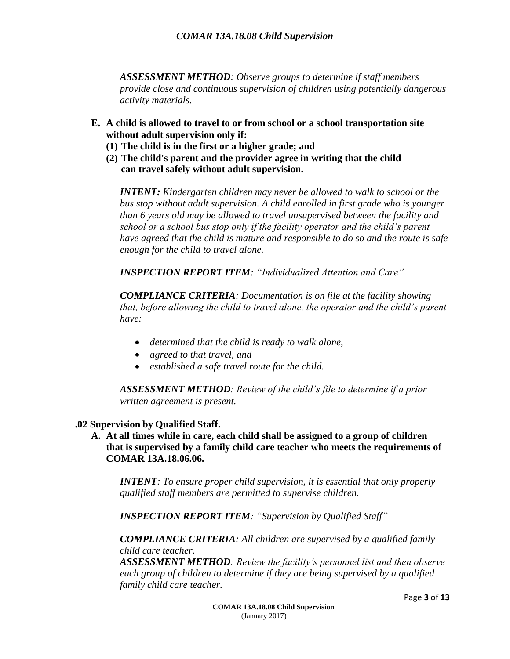*ASSESSMENT METHOD: Observe groups to determine if staff members provide close and continuous supervision of children using potentially dangerous activity materials.*

- **E. A child is allowed to travel to or from school or a school transportation site without adult supervision only if:**
	- **(1) The child is in the first or a higher grade; and**
	- **(2) The child's parent and the provider agree in writing that the child can travel safely without adult supervision.**

*INTENT: Kindergarten children may never be allowed to walk to school or the bus stop without adult supervision. A child enrolled in first grade who is younger than 6 years old may be allowed to travel unsupervised between the facility and school or a school bus stop only if the facility operator and the child's parent have agreed that the child is mature and responsible to do so and the route is safe enough for the child to travel alone.*

*INSPECTION REPORT ITEM: "Individualized Attention and Care"*

*COMPLIANCE CRITERIA: Documentation is on file at the facility showing that, before allowing the child to travel alone, the operator and the child's parent have:*

- *determined that the child is ready to walk alone,*
- *agreed to that travel, and*
- *established a safe travel route for the child.*

*ASSESSMENT METHOD: Review of the child's file to determine if a prior written agreement is present.*

#### **.02 Supervision by Qualified Staff.**

**A. At all times while in care, each child shall be assigned to a group of children that is supervised by a family child care teacher who meets the requirements of COMAR 13A.18.06.06.**

*INTENT: To ensure proper child supervision, it is essential that only properly qualified staff members are permitted to supervise children.*

*INSPECTION REPORT ITEM: "Supervision by Qualified Staff"*

*COMPLIANCE CRITERIA: All children are supervised by a qualified family child care teacher.* 

*ASSESSMENT METHOD: Review the facility's personnel list and then observe each group of children to determine if they are being supervised by a qualified family child care teacher.*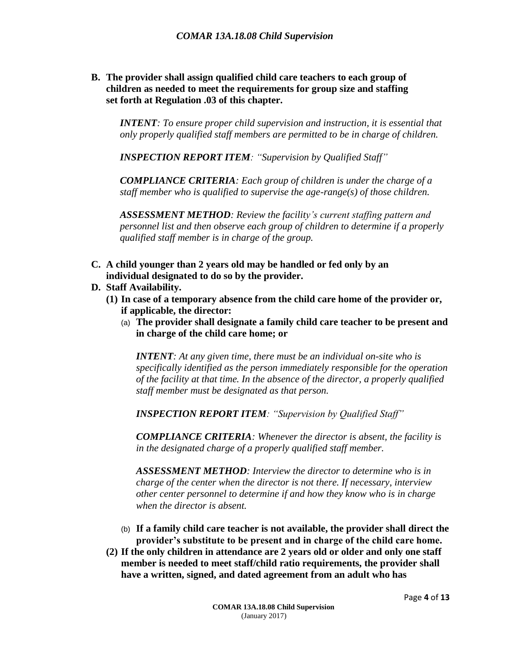**B. The provider shall assign qualified child care teachers to each group of children as needed to meet the requirements for group size and staffing set forth at Regulation .03 of this chapter.**

*INTENT: To ensure proper child supervision and instruction, it is essential that only properly qualified staff members are permitted to be in charge of children.*

*INSPECTION REPORT ITEM: "Supervision by Qualified Staff"*

*COMPLIANCE CRITERIA: Each group of children is under the charge of a staff member who is qualified to supervise the age-range(s) of those children.* 

*ASSESSMENT METHOD: Review the facility's current staffing pattern and personnel list and then observe each group of children to determine if a properly qualified staff member is in charge of the group.*

- **C. A child younger than 2 years old may be handled or fed only by an individual designated to do so by the provider.**
- **D. Staff Availability.**
	- **(1) In case of a temporary absence from the child care home of the provider or, if applicable, the director:**
		- (a) **The provider shall designate a family child care teacher to be present and in charge of the child care home; or**

*INTENT: At any given time, there must be an individual on-site who is specifically identified as the person immediately responsible for the operation of the facility at that time. In the absence of the director, a properly qualified staff member must be designated as that person.*

*INSPECTION REPORT ITEM: "Supervision by Qualified Staff"*

*COMPLIANCE CRITERIA: Whenever the director is absent, the facility is in the designated charge of a properly qualified staff member.*

*ASSESSMENT METHOD: Interview the director to determine who is in charge of the center when the director is not there. If necessary, interview other center personnel to determine if and how they know who is in charge when the director is absent.*

- (b) **If a family child care teacher is not available, the provider shall direct the provider's substitute to be present and in charge of the child care home.**
- **(2) If the only children in attendance are 2 years old or older and only one staff member is needed to meet staff/child ratio requirements, the provider shall have a written, signed, and dated agreement from an adult who has**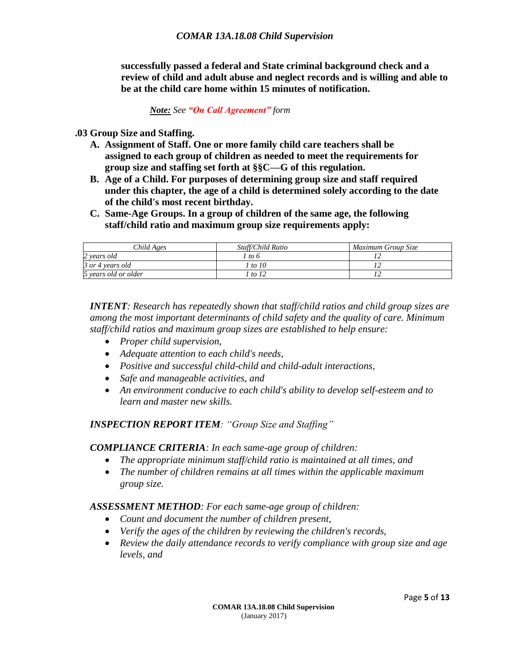**successfully passed a federal and State criminal background check and a review of child and adult abuse and neglect records and is willing and able to be at the child care home within 15 minutes of notification.**

#### *Note: See "On Call Agreement" form*

**.03 Group Size and Staffing.**

- **A. Assignment of Staff. One or more family child care teachers shall be assigned to each group of children as needed to meet the requirements for group size and staffing set forth at §§C—G of this regulation.**
- **B. Age of a Child. For purposes of determining group size and staff required under this chapter, the age of a child is determined solely according to the date of the child's most recent birthday.**
- **C. Same-Age Groups. In a group of children of the same age, the following staff/child ratio and maximum group size requirements apply:**

| Child Ages           | Staff/Child Ratio | Maximum Group Size |
|----------------------|-------------------|--------------------|
| 2 years old          | 1 to 6            |                    |
| 3 or 4 years old     | l to 10           |                    |
| 5 years old or older | to 12             |                    |

*INTENT: Research has repeatedly shown that staff/child ratios and child group sizes are among the most important determinants of child safety and the quality of care. Minimum staff/child ratios and maximum group sizes are established to help ensure:*

- *Proper child supervision,*
- *Adequate attention to each child's needs,*
- *Positive and successful child-child and child-adult interactions,*
- *Safe and manageable activities, and*
- *An environment conducive to each child's ability to develop self-esteem and to learn and master new skills.*

#### *INSPECTION REPORT ITEM: "Group Size and Staffing"*

#### *COMPLIANCE CRITERIA: In each same-age group of children:*

- *The appropriate minimum staff/child ratio is maintained at all times, and*
- *The number of children remains at all times within the applicable maximum group size.*

#### *ASSESSMENT METHOD: For each same-age group of children:*

- *Count and document the number of children present,*
- *Verify the ages of the children by reviewing the children's records,*
- *Review the daily attendance records to verify compliance with group size and age levels, and*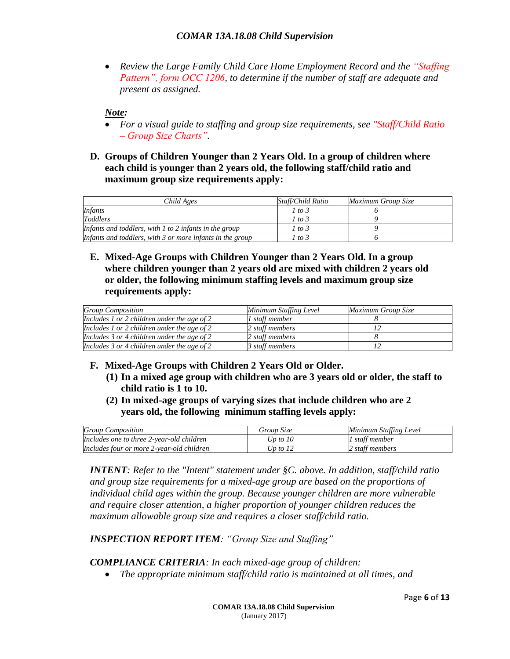*Review the Large Family Child Care Home Employment Record and the "Staffing Pattern", form OCC 1206, to determine if the number of staff are adequate and present as assigned.*

*Note:*

- *For a visual guide to staffing and group size requirements, see "Staff/Child Ratio – Group Size Charts".*
- **D. Groups of Children Younger than 2 Years Old. In a group of children where each child is younger than 2 years old, the following staff/child ratio and maximum group size requirements apply:**

| Child Ages                                                  | Staff/Child Ratio | Maximum Group Size |
|-------------------------------------------------------------|-------------------|--------------------|
| <i>Infants</i>                                              | 1 to 3            |                    |
| <b>Toddlers</b>                                             | 1 to 3            |                    |
| Infants and toddlers, with $l$ to $2$ infants in the group  | 1 to 3            |                    |
| Infants and toddlers, with $3$ or more infants in the group | 1 to 3            |                    |

**E. Mixed-Age Groups with Children Younger than 2 Years Old. In a group where children younger than 2 years old are mixed with children 2 years old or older, the following minimum staffing levels and maximum group size requirements apply:**

| <b>Group Composition</b>                    | Minimum Staffing Level | Maximum Group Size |
|---------------------------------------------|------------------------|--------------------|
| Includes 1 or 2 children under the age of 2 | 1 staff member         |                    |
| Includes 1 or 2 children under the age of 2 | 2 staff members        |                    |
| Includes 3 or 4 children under the age of 2 | 2 staff members        |                    |
| Includes 3 or 4 children under the age of 2 | 3 staff members        |                    |

- **F. Mixed-Age Groups with Children 2 Years Old or Older.**
	- **(1) In a mixed age group with children who are 3 years old or older, the staff to child ratio is 1 to 10.**
	- **(2) In mixed-age groups of varying sizes that include children who are 2 years old, the following minimum staffing levels apply:**

| <b>Group Composition</b>                  | Group Size | Minimum Staffing Level |
|-------------------------------------------|------------|------------------------|
| Includes one to three 2-vear-old children | Up to $10$ | 1 staff member         |
| Includes four or more 2-year-old children | Up to $12$ | 2 staff members        |

*INTENT: Refer to the "Intent" statement under §C. above. In addition, staff/child ratio and group size requirements for a mixed-age group are based on the proportions of individual child ages within the group. Because younger children are more vulnerable and require closer attention, a higher proportion of younger children reduces the maximum allowable group size and requires a closer staff/child ratio.*

*INSPECTION REPORT ITEM: "Group Size and Staffing"*

*COMPLIANCE CRITERIA: In each mixed-age group of children:*

*The appropriate minimum staff/child ratio is maintained at all times, and*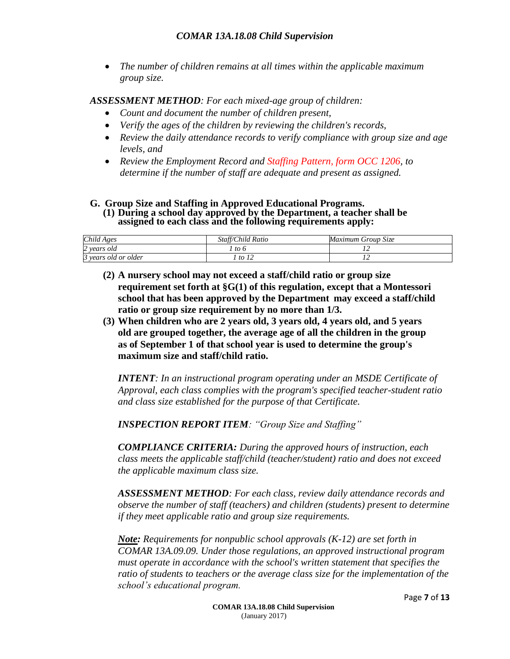*The number of children remains at all times within the applicable maximum group size.*

*ASSESSMENT METHOD: For each mixed-age group of children:*

- *Count and document the number of children present,*
- *Verify the ages of the children by reviewing the children's records,*
- *Review the daily attendance records to verify compliance with group size and age levels, and*
- *Review the Employment Record and Staffing Pattern, form OCC 1206, to determine if the number of staff are adequate and present as assigned.*
- **G. Group Size and Staffing in Approved Educational Programs. (1) During a school day approved by the Department, a teacher shall be assigned to each class and the following requirements apply:**

| Child Ages           | Staff/Child Ratio | Maximum Group Size |
|----------------------|-------------------|--------------------|
| 2 years old          | to 6              |                    |
| 3 years old or older | to $12$           |                    |

- **(2) A nursery school may not exceed a staff/child ratio or group size requirement set forth at §G(1) of this regulation, except that a Montessori school that has been approved by the Department may exceed a staff/child ratio or group size requirement by no more than 1/3.**
- **(3) When children who are 2 years old, 3 years old, 4 years old, and 5 years old are grouped together, the average age of all the children in the group as of September 1 of that school year is used to determine the group's maximum size and staff/child ratio.**

*INTENT: In an instructional program operating under an MSDE Certificate of Approval, each class complies with the program's specified teacher-student ratio and class size established for the purpose of that Certificate.*

*INSPECTION REPORT ITEM: "Group Size and Staffing"*

*COMPLIANCE CRITERIA: During the approved hours of instruction, each class meets the applicable staff/child (teacher/student) ratio and does not exceed the applicable maximum class size.*

*ASSESSMENT METHOD: For each class, review daily attendance records and observe the number of staff (teachers) and children (students) present to determine if they meet applicable ratio and group size requirements.*

*Note: Requirements for nonpublic school approvals (K-12) are set forth in COMAR 13A.09.09. Under those regulations, an approved instructional program must operate in accordance with the school's written statement that specifies the ratio of students to teachers or the average class size for the implementation of the school's educational program.*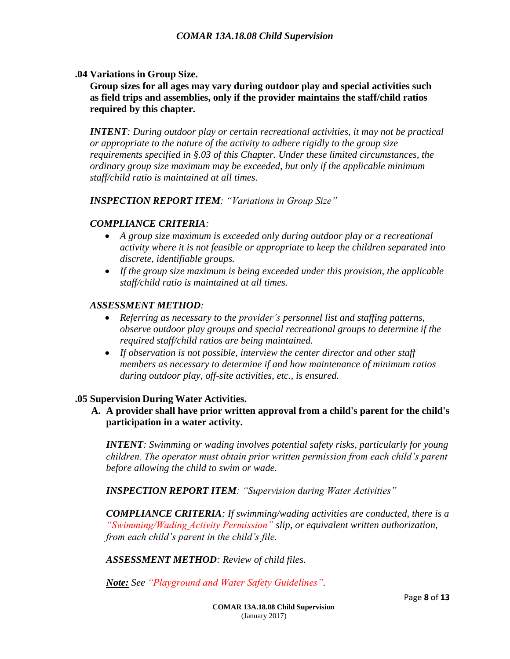**.04 Variations in Group Size.**

**Group sizes for all ages may vary during outdoor play and special activities such as field trips and assemblies, only if the provider maintains the staff/child ratios required by this chapter.**

*INTENT: During outdoor play or certain recreational activities, it may not be practical or appropriate to the nature of the activity to adhere rigidly to the group size requirements specified in §.03 of this Chapter. Under these limited circumstances, the ordinary group size maximum may be exceeded, but only if the applicable minimum staff/child ratio is maintained at all times.*

*INSPECTION REPORT ITEM: "Variations in Group Size"*

#### *COMPLIANCE CRITERIA:*

- *A group size maximum is exceeded only during outdoor play or a recreational activity where it is not feasible or appropriate to keep the children separated into discrete, identifiable groups.*
- *If the group size maximum is being exceeded under this provision, the applicable staff/child ratio is maintained at all times.*

#### *ASSESSMENT METHOD:*

- *Referring as necessary to the provider's personnel list and staffing patterns, observe outdoor play groups and special recreational groups to determine if the required staff/child ratios are being maintained.*
- If observation is not possible, interview the center director and other staff *members as necessary to determine if and how maintenance of minimum ratios during outdoor play, off-site activities, etc., is ensured.*

#### **.05 Supervision During Water Activities.**

**A. A provider shall have prior written approval from a child's parent for the child's participation in a water activity.**

*INTENT: Swimming or wading involves potential safety risks, particularly for young children. The operator must obtain prior written permission from each child's parent before allowing the child to swim or wade.*

*INSPECTION REPORT ITEM: "Supervision during Water Activities"*

*COMPLIANCE CRITERIA: If swimming/wading activities are conducted, there is a "Swimming/Wading Activity Permission" slip, or equivalent written authorization, from each child's parent in the child's file.*

*ASSESSMENT METHOD: Review of child files.*

*Note: See "Playground and Water Safety Guidelines".*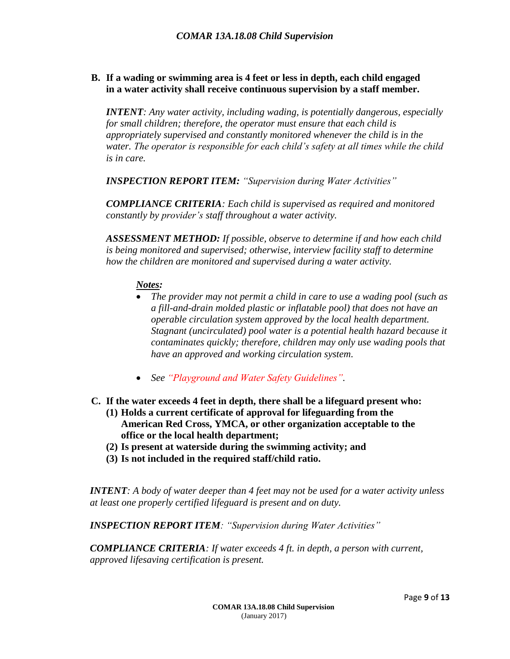#### **B. If a wading or swimming area is 4 feet or less in depth, each child engaged in a water activity shall receive continuous supervision by a staff member.**

*INTENT: Any water activity, including wading, is potentially dangerous, especially for small children; therefore, the operator must ensure that each child is appropriately supervised and constantly monitored whenever the child is in the water. The operator is responsible for each child's safety at all times while the child is in care.*

*INSPECTION REPORT ITEM: "Supervision during Water Activities"*

*COMPLIANCE CRITERIA: Each child is supervised as required and monitored constantly by provider's staff throughout a water activity.*

*ASSESSMENT METHOD: If possible, observe to determine if and how each child is being monitored and supervised; otherwise, interview facility staff to determine how the children are monitored and supervised during a water activity.*

#### *Notes:*

- *The provider may not permit a child in care to use a wading pool (such as a fill-and-drain molded plastic or inflatable pool) that does not have an operable circulation system approved by the local health department. Stagnant (uncirculated) pool water is a potential health hazard because it contaminates quickly; therefore, children may only use wading pools that have an approved and working circulation system.*
- *See "Playground and Water Safety Guidelines".*
- **C. If the water exceeds 4 feet in depth, there shall be a lifeguard present who:**
	- **(1) Holds a current certificate of approval for lifeguarding from the American Red Cross, YMCA, or other organization acceptable to the office or the local health department;**
	- **(2) Is present at waterside during the swimming activity; and**
	- **(3) Is not included in the required staff/child ratio.**

*INTENT: A body of water deeper than 4 feet may not be used for a water activity unless at least one properly certified lifeguard is present and on duty.*

*INSPECTION REPORT ITEM: "Supervision during Water Activities"*

*COMPLIANCE CRITERIA: If water exceeds 4 ft. in depth, a person with current, approved lifesaving certification is present.*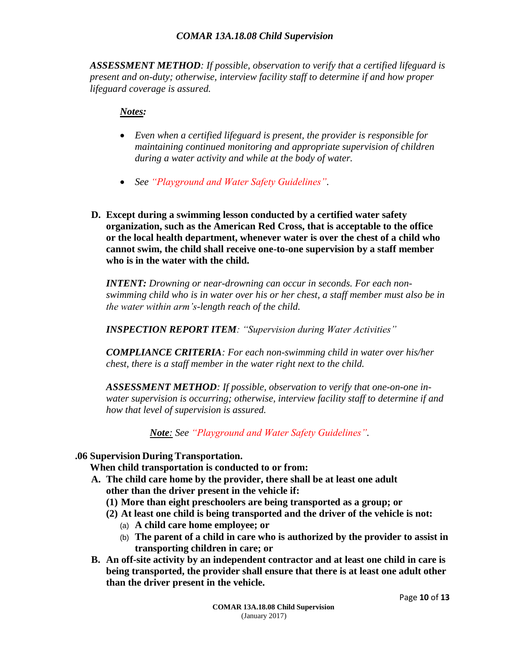*ASSESSMENT METHOD: If possible, observation to verify that a certified lifeguard is present and on-duty; otherwise, interview facility staff to determine if and how proper lifeguard coverage is assured.*

#### *Notes:*

- *Even when a certified lifeguard is present, the provider is responsible for maintaining continued monitoring and appropriate supervision of children during a water activity and while at the body of water.*
- *See "Playground and Water Safety Guidelines".*
- **D. Except during a swimming lesson conducted by a certified water safety organization, such as the American Red Cross, that is acceptable to the office or the local health department, whenever water is over the chest of a child who cannot swim, the child shall receive one-to-one supervision by a staff member who is in the water with the child.**

*INTENT: Drowning or near-drowning can occur in seconds. For each nonswimming child who is in water over his or her chest, a staff member must also be in the water within arm's-length reach of the child.*

*INSPECTION REPORT ITEM: "Supervision during Water Activities"*

*COMPLIANCE CRITERIA: For each non-swimming child in water over his/her chest, there is a staff member in the water right next to the child.*

*ASSESSMENT METHOD: If possible, observation to verify that one-on-one inwater supervision is occurring; otherwise, interview facility staff to determine if and how that level of supervision is assured.*

*Note: See "Playground and Water Safety Guidelines".*

#### **.06 Supervision During Transportation.**

**When child transportation is conducted to or from:**

- **A. The child care home by the provider, there shall be at least one adult other than the driver present in the vehicle if:**
	- **(1) More than eight preschoolers are being transported as a group; or**
	- **(2) At least one child is being transported and the driver of the vehicle is not:**
		- (a) **A child care home employee; or**
		- (b) **The parent of a child in care who is authorized by the provider to assist in transporting children in care; or**
- **B. An off-site activity by an independent contractor and at least one child in care is being transported, the provider shall ensure that there is at least one adult other than the driver present in the vehicle.**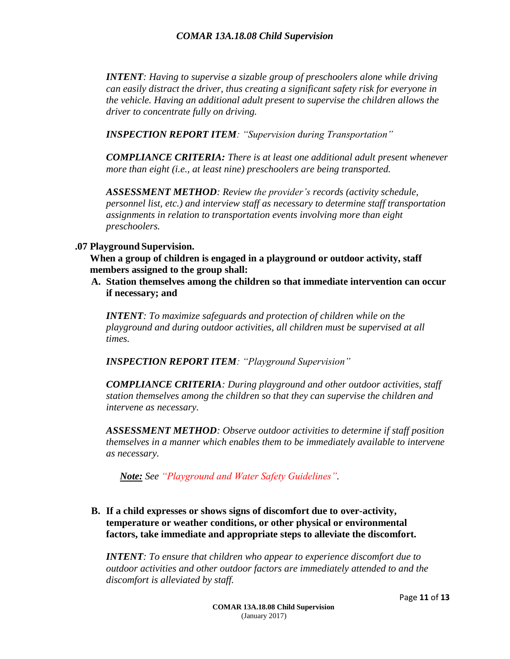*INTENT: Having to supervise a sizable group of preschoolers alone while driving can easily distract the driver, thus creating a significant safety risk for everyone in the vehicle. Having an additional adult present to supervise the children allows the driver to concentrate fully on driving.*

*INSPECTION REPORT ITEM: "Supervision during Transportation"*

*COMPLIANCE CRITERIA: There is at least one additional adult present whenever more than eight (i.e., at least nine) preschoolers are being transported.*

*ASSESSMENT METHOD: Review the provider's records (activity schedule, personnel list, etc.) and interview staff as necessary to determine staff transportation assignments in relation to transportation events involving more than eight preschoolers.*

#### **.07 Playground Supervision.**

**When a group of children is engaged in a playground or outdoor activity, staff members assigned to the group shall:**

**A. Station themselves among the children so that immediate intervention can occur if necessary; and**

*INTENT: To maximize safeguards and protection of children while on the playground and during outdoor activities, all children must be supervised at all times.*

*INSPECTION REPORT ITEM: "Playground Supervision"*

*COMPLIANCE CRITERIA: During playground and other outdoor activities, staff station themselves among the children so that they can supervise the children and intervene as necessary.*

*ASSESSMENT METHOD: Observe outdoor activities to determine if staff position themselves in a manner which enables them to be immediately available to intervene as necessary.*

*Note: See "Playground and Water Safety Guidelines".*

**B. If a child expresses or shows signs of discomfort due to over-activity, temperature or weather conditions, or other physical or environmental factors, take immediate and appropriate steps to alleviate the discomfort.**

*INTENT: To ensure that children who appear to experience discomfort due to outdoor activities and other outdoor factors are immediately attended to and the discomfort is alleviated by staff.*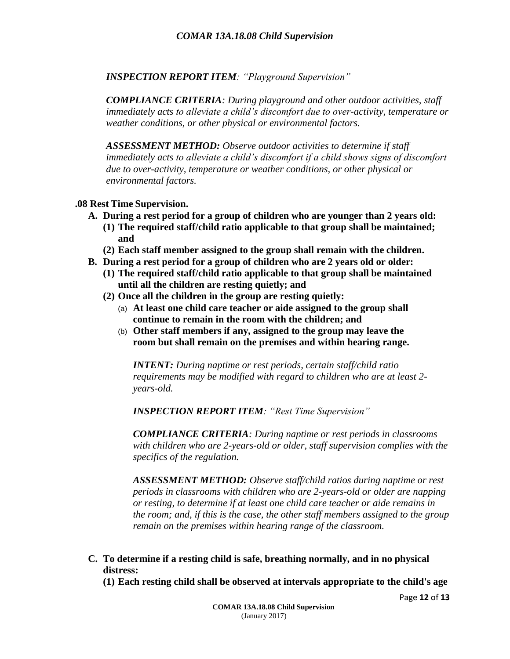*INSPECTION REPORT ITEM: "Playground Supervision"*

*COMPLIANCE CRITERIA: During playground and other outdoor activities, staff immediately acts to alleviate a child's discomfort due to over-activity, temperature or weather conditions, or other physical or environmental factors.*

*ASSESSMENT METHOD: Observe outdoor activities to determine if staff immediately acts to alleviate a child's discomfort if a child shows signs of discomfort due to over-activity, temperature or weather conditions, or other physical or environmental factors.*

#### **.08 Rest Time Supervision.**

- **A. During a rest period for a group of children who are younger than 2 years old:**
	- **(1) The required staff/child ratio applicable to that group shall be maintained; and**
	- **(2) Each staff member assigned to the group shall remain with the children.**
- **B. During a rest period for a group of children who are 2 years old or older:**
	- **(1) The required staff/child ratio applicable to that group shall be maintained until all the children are resting quietly; and**
	- **(2) Once all the children in the group are resting quietly:**
		- (a) **At least one child care teacher or aide assigned to the group shall continue to remain in the room with the children; and**
		- (b) **Other staff members if any, assigned to the group may leave the room but shall remain on the premises and within hearing range.**

*INTENT: During naptime or rest periods, certain staff/child ratio requirements may be modified with regard to children who are at least 2 years-old.*

*INSPECTION REPORT ITEM: "Rest Time Supervision"*

*COMPLIANCE CRITERIA: During naptime or rest periods in classrooms with children who are 2-years-old or older, staff supervision complies with the specifics of the regulation.*

*ASSESSMENT METHOD: Observe staff/child ratios during naptime or rest periods in classrooms with children who are 2-years-old or older are napping or resting, to determine if at least one child care teacher or aide remains in the room; and, if this is the case, the other staff members assigned to the group remain on the premises within hearing range of the classroom.*

- **C. To determine if a resting child is safe, breathing normally, and in no physical distress:**
	- **(1) Each resting child shall be observed at intervals appropriate to the child's age**

Page **12** of **13**